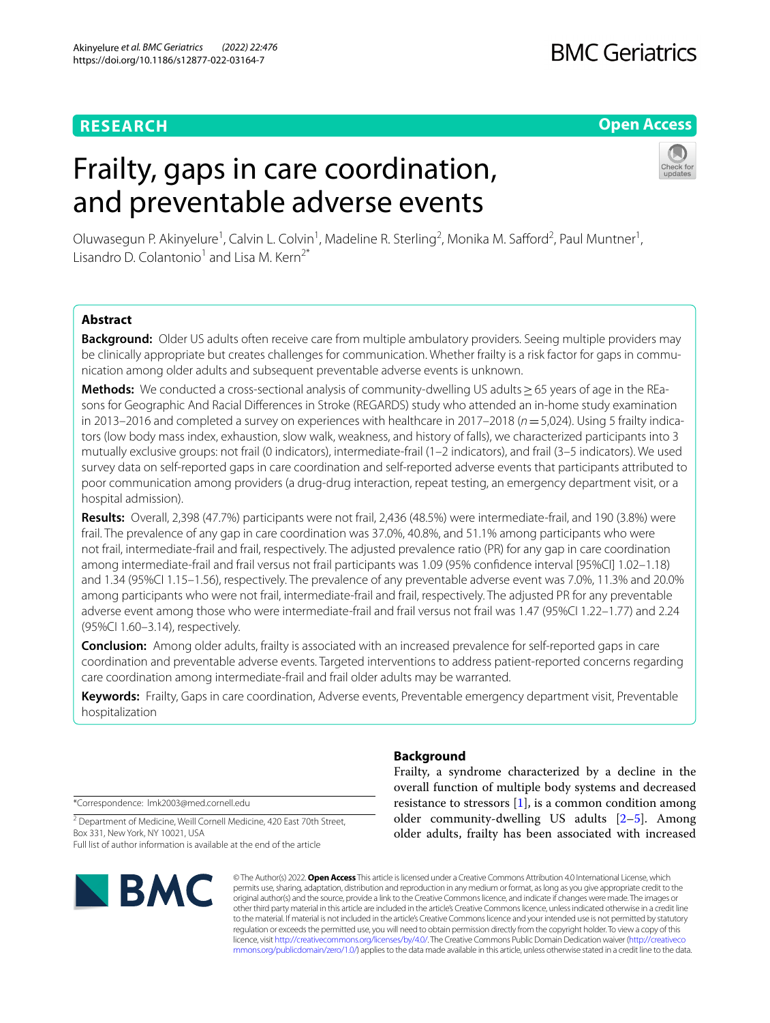### **RESEARCH**

# **BMC Geriatrics**

#### **Open Access**

# Frailty, gaps in care coordination, and preventable adverse events

Oluwasegun P. Akinyelure<sup>1</sup>, Calvin L. Colvin<sup>1</sup>, Madeline R. Sterling<sup>2</sup>, Monika M. Safford<sup>2</sup>, Paul Muntner<sup>1</sup>, Lisandro D. Colantonio<sup>1</sup> and Lisa M. Kern<sup>2\*</sup>

#### **Abstract**

**Background:** Older US adults often receive care from multiple ambulatory providers. Seeing multiple providers may be clinically appropriate but creates challenges for communication. Whether frailty is a risk factor for gaps in communication among older adults and subsequent preventable adverse events is unknown.

**Methods:** We conducted a cross-sectional analysis of community-dwelling US adults > 65 years of age in the REasons for Geographic And Racial Diferences in Stroke (REGARDS) study who attended an in-home study examination in 2013–2016 and completed a survey on experiences with healthcare in 2017–2018 (*n*=5,024). Using 5 frailty indicators (low body mass index, exhaustion, slow walk, weakness, and history of falls), we characterized participants into 3 mutually exclusive groups: not frail (0 indicators), intermediate-frail (1–2 indicators), and frail (3–5 indicators). We used survey data on self-reported gaps in care coordination and self-reported adverse events that participants attributed to poor communication among providers (a drug-drug interaction, repeat testing, an emergency department visit, or a hospital admission).

**Results:** Overall, 2,398 (47.7%) participants were not frail, 2,436 (48.5%) were intermediate-frail, and 190 (3.8%) were frail. The prevalence of any gap in care coordination was 37.0%, 40.8%, and 51.1% among participants who were not frail, intermediate-frail and frail, respectively. The adjusted prevalence ratio (PR) for any gap in care coordination among intermediate-frail and frail versus not frail participants was 1.09 (95% confdence interval [95%CI] 1.02–1.18) and 1.34 (95%CI 1.15–1.56), respectively. The prevalence of any preventable adverse event was 7.0%, 11.3% and 20.0% among participants who were not frail, intermediate-frail and frail, respectively. The adjusted PR for any preventable adverse event among those who were intermediate-frail and frail versus not frail was 1.47 (95%CI 1.22–1.77) and 2.24 (95%CI 1.60–3.14), respectively.

**Conclusion:** Among older adults, frailty is associated with an increased prevalence for self-reported gaps in care coordination and preventable adverse events. Targeted interventions to address patient-reported concerns regarding care coordination among intermediate-frail and frail older adults may be warranted.

**Keywords:** Frailty, Gaps in care coordination, Adverse events, Preventable emergency department visit, Preventable hospitalization

\*Correspondence: lmk2003@med.cornell.edu

<sup>2</sup> Department of Medicine, Weill Cornell Medicine, 420 East 70th Street, Box 331, New York, NY 10021, USA Full list of author information is available at the end of the article



#### **Background**

Frailty, a syndrome characterized by a decline in the overall function of multiple body systems and decreased resistance to stressors  $[1]$  $[1]$ , is a common condition among older community-dwelling US adults [[2–](#page-8-1)[5\]](#page-8-2). Among older adults, frailty has been associated with increased

© The Author(s) 2022. **Open Access** This article is licensed under a Creative Commons Attribution 4.0 International License, which permits use, sharing, adaptation, distribution and reproduction in any medium or format, as long as you give appropriate credit to the original author(s) and the source, provide a link to the Creative Commons licence, and indicate if changes were made. The images or other third party material in this article are included in the article's Creative Commons licence, unless indicated otherwise in a credit line to the material. If material is not included in the article's Creative Commons licence and your intended use is not permitted by statutory regulation or exceeds the permitted use, you will need to obtain permission directly from the copyright holder. To view a copy of this licence, visit [http://creativecommons.org/licenses/by/4.0/.](http://creativecommons.org/licenses/by/4.0/) The Creative Commons Public Domain Dedication waiver ([http://creativeco](http://creativecommons.org/publicdomain/zero/1.0/) [mmons.org/publicdomain/zero/1.0/](http://creativecommons.org/publicdomain/zero/1.0/)) applies to the data made available in this article, unless otherwise stated in a credit line to the data.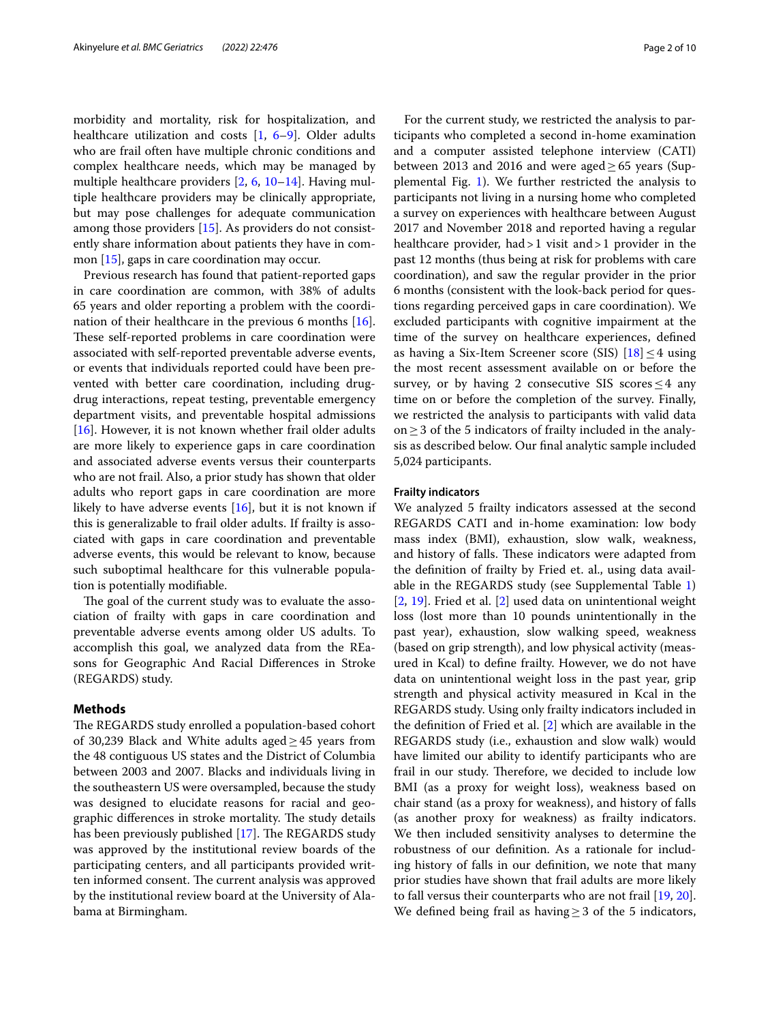morbidity and mortality, risk for hospitalization, and healthcare utilization and costs [\[1](#page-8-0), [6](#page-8-3)[–9](#page-8-4)]. Older adults who are frail often have multiple chronic conditions and complex healthcare needs, which may be managed by multiple healthcare providers [\[2](#page-8-1), [6](#page-8-3), [10](#page-8-5)[–14](#page-8-6)]. Having multiple healthcare providers may be clinically appropriate, but may pose challenges for adequate communication among those providers [[15](#page-8-7)]. As providers do not consistently share information about patients they have in common [\[15\]](#page-8-7), gaps in care coordination may occur.

Previous research has found that patient-reported gaps in care coordination are common, with 38% of adults 65 years and older reporting a problem with the coordination of their healthcare in the previous 6 months [\[16](#page-8-8)]. These self-reported problems in care coordination were associated with self-reported preventable adverse events, or events that individuals reported could have been prevented with better care coordination, including drugdrug interactions, repeat testing, preventable emergency department visits, and preventable hospital admissions [[16\]](#page-8-8). However, it is not known whether frail older adults are more likely to experience gaps in care coordination and associated adverse events versus their counterparts who are not frail. Also, a prior study has shown that older adults who report gaps in care coordination are more likely to have adverse events [[16\]](#page-8-8), but it is not known if this is generalizable to frail older adults. If frailty is associated with gaps in care coordination and preventable adverse events, this would be relevant to know, because such suboptimal healthcare for this vulnerable population is potentially modifable.

The goal of the current study was to evaluate the association of frailty with gaps in care coordination and preventable adverse events among older US adults. To accomplish this goal, we analyzed data from the REasons for Geographic And Racial Diferences in Stroke (REGARDS) study.

#### **Methods**

The REGARDS study enrolled a population-based cohort of 30,239 Black and White adults aged≥45 years from the 48 contiguous US states and the District of Columbia between 2003 and 2007. Blacks and individuals living in the southeastern US were oversampled, because the study was designed to elucidate reasons for racial and geographic differences in stroke mortality. The study details has been previously published  $[17]$  $[17]$ . The REGARDS study was approved by the institutional review boards of the participating centers, and all participants provided written informed consent. The current analysis was approved by the institutional review board at the University of Alabama at Birmingham.

For the current study, we restricted the analysis to participants who completed a second in-home examination and a computer assisted telephone interview (CATI) between 2013 and 2016 and were aged  $\geq$  65 years (Supplemental Fig. [1](#page-7-0)). We further restricted the analysis to participants not living in a nursing home who completed a survey on experiences with healthcare between August 2017 and November 2018 and reported having a regular healthcare provider, had > 1 visit and > 1 provider in the past 12 months (thus being at risk for problems with care coordination), and saw the regular provider in the prior 6 months (consistent with the look-back period for questions regarding perceived gaps in care coordination). We excluded participants with cognitive impairment at the time of the survey on healthcare experiences, defned as having a Six-Item Screener score (SIS)  $[18] \leq 4$  $[18] \leq 4$  using the most recent assessment available on or before the survey, or by having 2 consecutive SIS scores  $\leq$  4 any time on or before the completion of the survey. Finally, we restricted the analysis to participants with valid data on≥3 of the 5 indicators of frailty included in the analysis as described below. Our fnal analytic sample included 5,024 participants.

#### **Frailty indicators**

We analyzed 5 frailty indicators assessed at the second REGARDS CATI and in-home examination: low body mass index (BMI), exhaustion, slow walk, weakness, and history of falls. These indicators were adapted from the defnition of frailty by Fried et. al., using data available in the REGARDS study (see Supplemental Table [1](#page-7-0)) [[2,](#page-8-1) [19\]](#page-8-11). Fried et al. [\[2](#page-8-1)] used data on unintentional weight loss (lost more than 10 pounds unintentionally in the past year), exhaustion, slow walking speed, weakness (based on grip strength), and low physical activity (measured in Kcal) to defne frailty. However, we do not have data on unintentional weight loss in the past year, grip strength and physical activity measured in Kcal in the REGARDS study. Using only frailty indicators included in the defnition of Fried et al. [\[2](#page-8-1)] which are available in the REGARDS study (i.e., exhaustion and slow walk) would have limited our ability to identify participants who are frail in our study. Therefore, we decided to include low BMI (as a proxy for weight loss), weakness based on chair stand (as a proxy for weakness), and history of falls (as another proxy for weakness) as frailty indicators. We then included sensitivity analyses to determine the robustness of our defnition. As a rationale for including history of falls in our defnition, we note that many prior studies have shown that frail adults are more likely to fall versus their counterparts who are not frail [[19,](#page-8-11) [20](#page-8-12)]. We defined being frail as having  $\geq$  3 of the 5 indicators,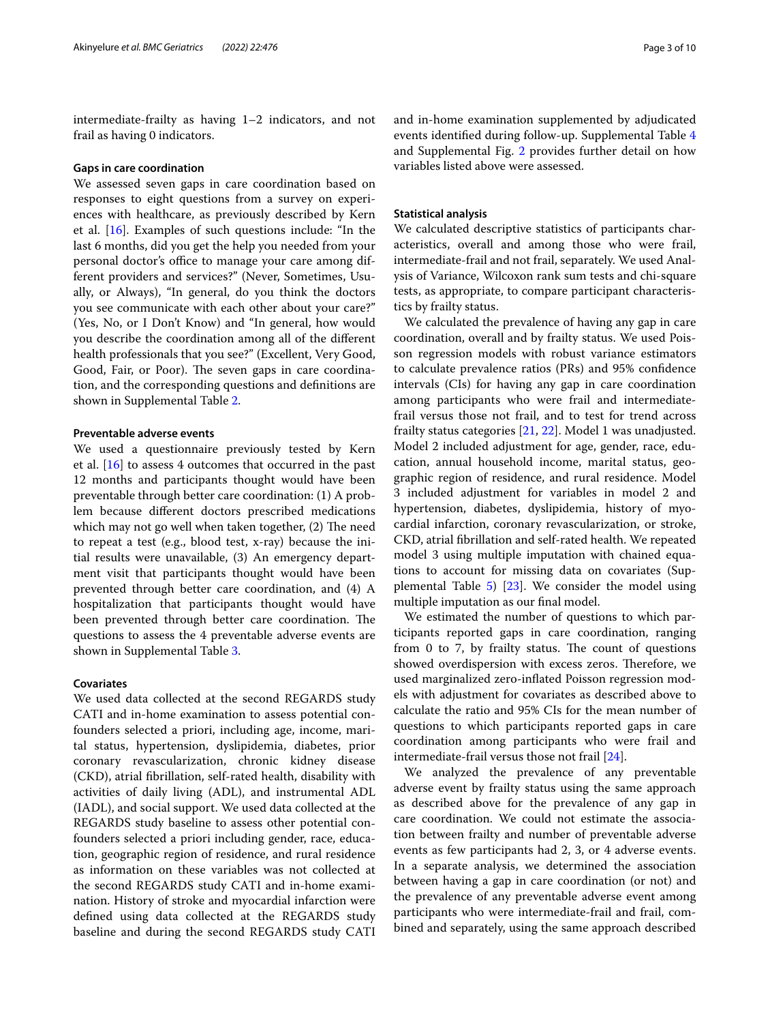intermediate-frailty as having 1–2 indicators, and not frail as having 0 indicators.

#### **Gaps in care coordination**

We assessed seven gaps in care coordination based on responses to eight questions from a survey on experiences with healthcare, as previously described by Kern et al.  $[16]$  $[16]$ . Examples of such questions include: "In the last 6 months, did you get the help you needed from your personal doctor's office to manage your care among different providers and services?" (Never, Sometimes, Usually, or Always), "In general, do you think the doctors you see communicate with each other about your care?" (Yes, No, or I Don't Know) and "In general, how would you describe the coordination among all of the diferent health professionals that you see?" (Excellent, Very Good, Good, Fair, or Poor). The seven gaps in care coordination, and the corresponding questions and defnitions are shown in Supplemental Table [2](#page-7-0).

#### **Preventable adverse events**

We used a questionnaire previously tested by Kern et al. [[16\]](#page-8-8) to assess 4 outcomes that occurred in the past 12 months and participants thought would have been preventable through better care coordination: (1) A problem because diferent doctors prescribed medications which may not go well when taken together, (2) The need to repeat a test (e.g., blood test, x-ray) because the initial results were unavailable, (3) An emergency department visit that participants thought would have been prevented through better care coordination, and (4) A hospitalization that participants thought would have been prevented through better care coordination. The questions to assess the 4 preventable adverse events are shown in Supplemental Table [3](#page-7-0).

#### **Covariates**

We used data collected at the second REGARDS study CATI and in-home examination to assess potential confounders selected a priori, including age, income, marital status, hypertension, dyslipidemia, diabetes, prior coronary revascularization, chronic kidney disease (CKD), atrial fbrillation, self-rated health, disability with activities of daily living (ADL), and instrumental ADL (IADL), and social support. We used data collected at the REGARDS study baseline to assess other potential confounders selected a priori including gender, race, education, geographic region of residence, and rural residence as information on these variables was not collected at the second REGARDS study CATI and in-home examination. History of stroke and myocardial infarction were defned using data collected at the REGARDS study baseline and during the second REGARDS study CATI and in-home examination supplemented by adjudicated events identifed during follow-up. Supplemental Table [4](#page-7-0) and Supplemental Fig. [2](#page-7-0) provides further detail on how variables listed above were assessed.

#### **Statistical analysis**

We calculated descriptive statistics of participants characteristics, overall and among those who were frail, intermediate-frail and not frail, separately. We used Analysis of Variance, Wilcoxon rank sum tests and chi-square tests, as appropriate, to compare participant characteristics by frailty status.

We calculated the prevalence of having any gap in care coordination, overall and by frailty status. We used Poisson regression models with robust variance estimators to calculate prevalence ratios (PRs) and 95% confdence intervals (CIs) for having any gap in care coordination among participants who were frail and intermediatefrail versus those not frail, and to test for trend across frailty status categories [[21](#page-8-13), [22\]](#page-8-14). Model 1 was unadjusted. Model 2 included adjustment for age, gender, race, education, annual household income, marital status, geographic region of residence, and rural residence. Model 3 included adjustment for variables in model 2 and hypertension, diabetes, dyslipidemia, history of myocardial infarction, coronary revascularization, or stroke, CKD, atrial fbrillation and self-rated health. We repeated model 3 using multiple imputation with chained equations to account for missing data on covariates (Supplemental Table  $5)$  $5)$  [\[23\]](#page-8-15). We consider the model using multiple imputation as our fnal model.

We estimated the number of questions to which participants reported gaps in care coordination, ranging from  $0$  to  $7$ , by frailty status. The count of questions showed overdispersion with excess zeros. Therefore, we used marginalized zero-infated Poisson regression models with adjustment for covariates as described above to calculate the ratio and 95% CIs for the mean number of questions to which participants reported gaps in care coordination among participants who were frail and intermediate-frail versus those not frail [[24\]](#page-8-16).

We analyzed the prevalence of any preventable adverse event by frailty status using the same approach as described above for the prevalence of any gap in care coordination. We could not estimate the association between frailty and number of preventable adverse events as few participants had 2, 3, or 4 adverse events. In a separate analysis, we determined the association between having a gap in care coordination (or not) and the prevalence of any preventable adverse event among participants who were intermediate-frail and frail, combined and separately, using the same approach described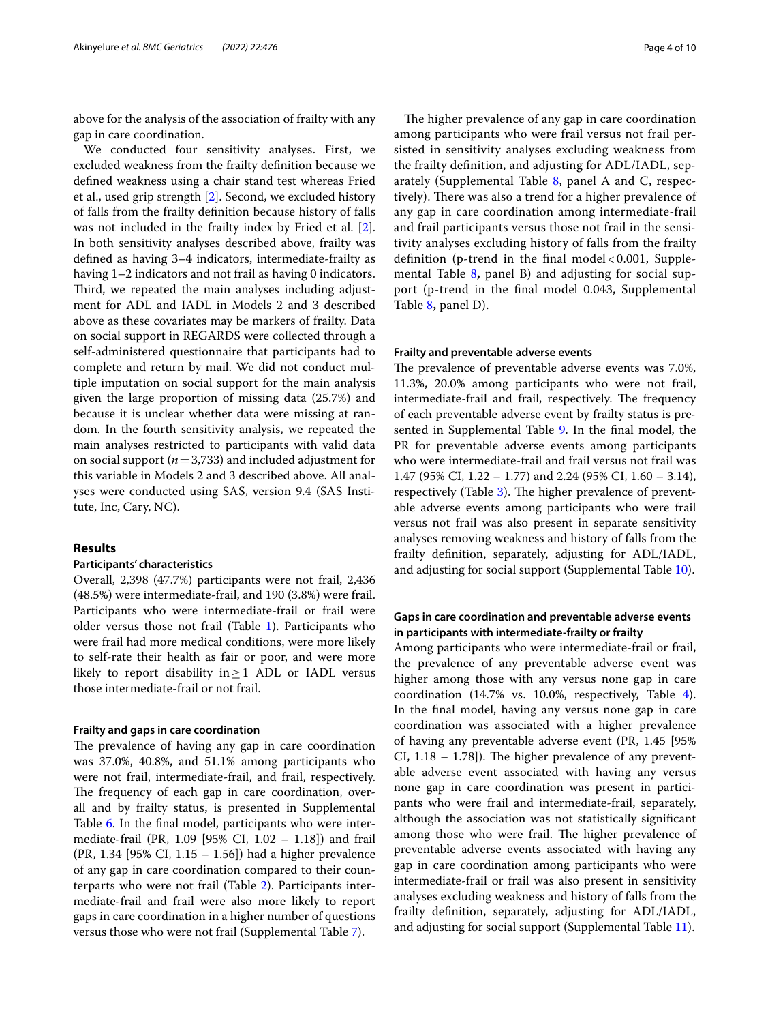above for the analysis of the association of frailty with any gap in care coordination.

We conducted four sensitivity analyses. First, we excluded weakness from the frailty defnition because we defned weakness using a chair stand test whereas Fried et al., used grip strength [\[2](#page-8-1)]. Second, we excluded history of falls from the frailty defnition because history of falls was not included in the frailty index by Fried et al. [\[2](#page-8-1)]. In both sensitivity analyses described above, frailty was defned as having 3–4 indicators, intermediate-frailty as having 1–2 indicators and not frail as having 0 indicators. Third, we repeated the main analyses including adjustment for ADL and IADL in Models 2 and 3 described above as these covariates may be markers of frailty. Data on social support in REGARDS were collected through a self-administered questionnaire that participants had to complete and return by mail. We did not conduct multiple imputation on social support for the main analysis given the large proportion of missing data (25.7%) and because it is unclear whether data were missing at random. In the fourth sensitivity analysis, we repeated the main analyses restricted to participants with valid data on social support (*n*=3,733) and included adjustment for this variable in Models 2 and 3 described above. All analyses were conducted using SAS, version 9.4 (SAS Institute, Inc, Cary, NC).

#### **Results**

#### **Participants' characteristics**

Overall, 2,398 (47.7%) participants were not frail, 2,436 (48.5%) were intermediate-frail, and 190 (3.8%) were frail. Participants who were intermediate-frail or frail were older versus those not frail (Table [1](#page-4-0)). Participants who were frail had more medical conditions, were more likely to self-rate their health as fair or poor, and were more likely to report disability in≥1 ADL or IADL versus those intermediate-frail or not frail.

#### **Frailty and gaps in care coordination**

The prevalence of having any gap in care coordination was 37.0%, 40.8%, and 51.1% among participants who were not frail, intermediate-frail, and frail, respectively. The frequency of each gap in care coordination, overall and by frailty status, is presented in Supplemental Table [6.](#page-7-0) In the fnal model, participants who were intermediate-frail (PR, 1.09 [95% CI, 1.02 – 1.18]) and frail (PR, 1.34 [95% CI, 1.15 – 1.56]) had a higher prevalence of any gap in care coordination compared to their counterparts who were not frail (Table [2\)](#page-5-0). Participants intermediate-frail and frail were also more likely to report gaps in care coordination in a higher number of questions versus those who were not frail (Supplemental Table [7\)](#page-7-0).

The higher prevalence of any gap in care coordination among participants who were frail versus not frail persisted in sensitivity analyses excluding weakness from the frailty defnition, and adjusting for ADL/IADL, separately (Supplemental Table [8,](#page-7-0) panel A and C, respectively). There was also a trend for a higher prevalence of any gap in care coordination among intermediate-frail and frail participants versus those not frail in the sensitivity analyses excluding history of falls from the frailty defnition (p-trend in the fnal model < 0.001, Supplemental Table [8](#page-7-0)**,** panel B) and adjusting for social support (p-trend in the fnal model 0.043, Supplemental Table [8](#page-7-0)**,** panel D).

#### **Frailty and preventable adverse events**

The prevalence of preventable adverse events was 7.0%, 11.3%, 20.0% among participants who were not frail, intermediate-frail and frail, respectively. The frequency of each preventable adverse event by frailty status is pre-sented in Supplemental Table [9](#page-7-0). In the final model, the PR for preventable adverse events among participants who were intermediate-frail and frail versus not frail was 1.47 (95% CI, 1.22 – 1.77) and 2.24 (95% CI, 1.60 – 3.14), respectively (Table [3\)](#page-5-1). The higher prevalence of preventable adverse events among participants who were frail versus not frail was also present in separate sensitivity analyses removing weakness and history of falls from the frailty defnition, separately, adjusting for ADL/IADL, and adjusting for social support (Supplemental Table [10](#page-7-0)).

#### **Gaps in care coordination and preventable adverse events in participants with intermediate‑frailty or frailty**

Among participants who were intermediate-frail or frail, the prevalence of any preventable adverse event was higher among those with any versus none gap in care coordination (14.7% vs. 10.0%, respectively, Table [4](#page-6-0)). In the fnal model, having any versus none gap in care coordination was associated with a higher prevalence of having any preventable adverse event (PR, 1.45 [95% CI,  $1.18 - 1.78$ ]). The higher prevalence of any preventable adverse event associated with having any versus none gap in care coordination was present in participants who were frail and intermediate-frail, separately, although the association was not statistically signifcant among those who were frail. The higher prevalence of preventable adverse events associated with having any gap in care coordination among participants who were intermediate-frail or frail was also present in sensitivity analyses excluding weakness and history of falls from the frailty defnition, separately, adjusting for ADL/IADL, and adjusting for social support (Supplemental Table [11](#page-7-0)).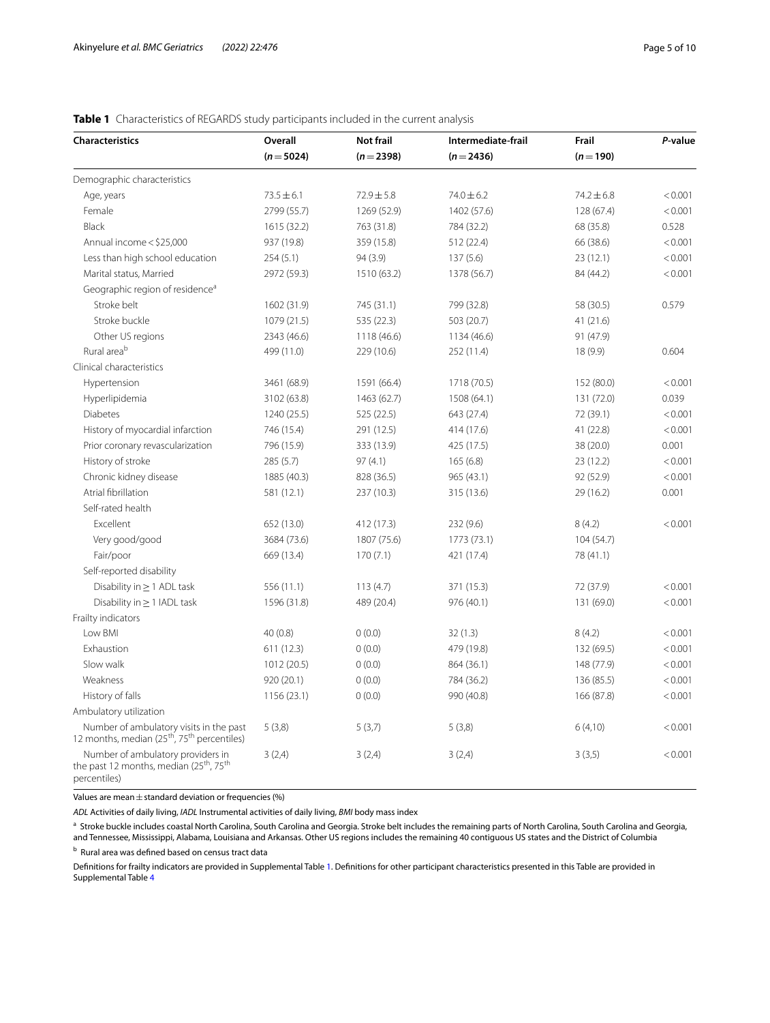| <b>Characteristics</b>                                                                                               | Overall        | Not frail      | Intermediate-frail | Frail          | P-value |
|----------------------------------------------------------------------------------------------------------------------|----------------|----------------|--------------------|----------------|---------|
|                                                                                                                      | $(n=5024)$     | $(n=2398)$     | $(n=2436)$         | $(n=190)$      |         |
| Demographic characteristics                                                                                          |                |                |                    |                |         |
| Age, years                                                                                                           | $73.5 \pm 6.1$ | $72.9 \pm 5.8$ | $74.0 \pm 6.2$     | $74.2 \pm 6.8$ | < 0.001 |
| Female                                                                                                               | 2799 (55.7)    | 1269 (52.9)    | 1402 (57.6)        | 128 (67.4)     | < 0.001 |
| Black                                                                                                                | 1615 (32.2)    | 763 (31.8)     | 784 (32.2)         | 68 (35.8)      | 0.528   |
| Annual income < \$25,000                                                                                             | 937 (19.8)     | 359 (15.8)     | 512 (22.4)         | 66 (38.6)      | < 0.001 |
| Less than high school education                                                                                      | 254(5.1)       | 94 (3.9)       | 137(5.6)           | 23(12.1)       | < 0.001 |
| Marital status, Married                                                                                              | 2972 (59.3)    | 1510 (63.2)    | 1378 (56.7)        | 84 (44.2)      | < 0.001 |
| Geographic region of residence <sup>a</sup>                                                                          |                |                |                    |                |         |
| Stroke belt                                                                                                          | 1602 (31.9)    | 745 (31.1)     | 799 (32.8)         | 58 (30.5)      | 0.579   |
| Stroke buckle                                                                                                        | 1079 (21.5)    | 535 (22.3)     | 503 (20.7)         | 41(21.6)       |         |
| Other US regions                                                                                                     | 2343 (46.6)    | 1118 (46.6)    | 1134 (46.6)        | 91 (47.9)      |         |
| Rural area <sup>b</sup>                                                                                              | 499 (11.0)     | 229 (10.6)     | 252 (11.4)         | 18 (9.9)       | 0.604   |
| Clinical characteristics                                                                                             |                |                |                    |                |         |
| Hypertension                                                                                                         | 3461 (68.9)    | 1591 (66.4)    | 1718 (70.5)        | 152 (80.0)     | < 0.001 |
| Hyperlipidemia                                                                                                       | 3102 (63.8)    | 1463 (62.7)    | 1508 (64.1)        | 131 (72.0)     | 0.039   |
| <b>Diabetes</b>                                                                                                      | 1240 (25.5)    | 525 (22.5)     | 643 (27.4)         | 72 (39.1)      | < 0.001 |
| History of myocardial infarction                                                                                     | 746 (15.4)     | 291 (12.5)     | 414 (17.6)         | 41 (22.8)      | < 0.001 |
| Prior coronary revascularization                                                                                     | 796 (15.9)     | 333 (13.9)     | 425 (17.5)         | 38 (20.0)      | 0.001   |
| History of stroke                                                                                                    | 285 (5.7)      | 97 (4.1)       | 165(6.8)           | 23(12.2)       | < 0.001 |
| Chronic kidney disease                                                                                               | 1885 (40.3)    | 828 (36.5)     | 965 (43.1)         | 92 (52.9)      | < 0.001 |
| Atrial fibrillation                                                                                                  | 581 (12.1)     | 237 (10.3)     | 315 (13.6)         | 29 (16.2)      | 0.001   |
| Self-rated health                                                                                                    |                |                |                    |                |         |
| Excellent                                                                                                            | 652 (13.0)     | 412 (17.3)     | 232 (9.6)          | 8(4.2)         | < 0.001 |
| Very good/good                                                                                                       | 3684 (73.6)    | 1807 (75.6)    | 1773 (73.1)        | 104(54.7)      |         |
| Fair/poor                                                                                                            | 669 (13.4)     | 170(7.1)       | 421 (17.4)         | 78 (41.1)      |         |
| Self-reported disability                                                                                             |                |                |                    |                |         |
| Disability in $\geq$ 1 ADL task                                                                                      | 556 (11.1)     | 113(4.7)       | 371 (15.3)         | 72 (37.9)      | < 0.001 |
| Disability in $\geq$ 1 IADL task                                                                                     | 1596 (31.8)    | 489 (20.4)     | 976 (40.1)         | 131 (69.0)     | < 0.001 |
| Frailty indicators                                                                                                   |                |                |                    |                |         |
| Low BMI                                                                                                              | 40(0.8)        | 0(0.0)         | 32(1.3)            | 8(4.2)         | < 0.001 |
| Exhaustion                                                                                                           | 611(12.3)      | 0(0.0)         | 479 (19.8)         | 132 (69.5)     | < 0.001 |
| Slow walk                                                                                                            | 1012 (20.5)    | 0(0.0)         | 864 (36.1)         | 148 (77.9)     | < 0.001 |
| Weakness                                                                                                             | 920 (20.1)     | 0(0.0)         | 784 (36.2)         | 136 (85.5)     | < 0.001 |
| History of falls                                                                                                     | 1156 (23.1)    | 0(0.0)         | 990 (40.8)         | 166 (87.8)     | < 0.001 |
| Ambulatory utilization                                                                                               |                |                |                    |                |         |
| Number of ambulatory visits in the past<br>12 months, median $(25th, 75th$ percentiles)                              | 5(3,8)         | 5(3,7)         | 5(3,8)             | 6(4,10)        | < 0.001 |
| Number of ambulatory providers in<br>the past 12 months, median (25 <sup>th</sup> , 75 <sup>th</sup><br>percentiles) | 3(2,4)         | 3(2,4)         | 3(2,4)             | 3(3,5)         | < 0.001 |

#### <span id="page-4-0"></span>**Table 1** Characteristics of REGARDS study participants included in the current analysis

Values are mean  $\pm$  standard deviation or frequencies (%)

*ADL* Activities of daily living, *IADL* Instrumental activities of daily living, *BMI* body mass index

<sup>a</sup> Stroke buckle includes coastal North Carolina, South Carolina and Georgia. Stroke belt includes the remaining parts of North Carolina, South Carolina and Georgia, and Tennessee, Mississippi, Alabama, Louisiana and Arkansas. Other US regions includes the remaining 40 contiguous US states and the District of Columbia

<sup>b</sup> Rural area was defined based on census tract data

Defnitions for frailty indicators are provided in Supplemental Table [1](#page-7-0). Defnitions for other participant characteristics presented in this Table are provided in Supplemental Table [4](#page-7-0)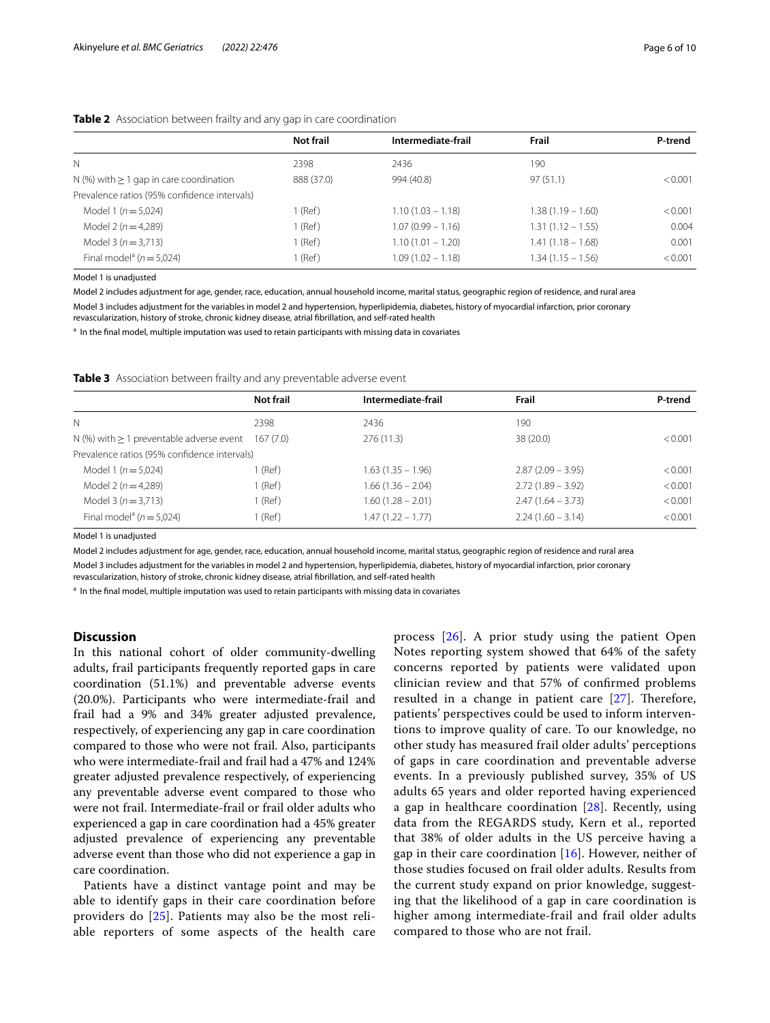#### <span id="page-5-0"></span>**Table 2** Association between frailty and any gap in care coordination

|                                              | <b>Not frail</b> | Intermediate-frail  | Frail               | P-trend |
|----------------------------------------------|------------------|---------------------|---------------------|---------|
| N                                            | 2398             | 2436                | 190                 |         |
| N (%) with $\geq 1$ gap in care coordination | 888 (37.0)       | 994 (40.8)          | 97(51.1)            | < 0.001 |
| Prevalence ratios (95% confidence intervals) |                  |                     |                     |         |
| Model 1 ( $n = 5.024$ )                      | 1 (Ref)          | $1.10(1.03 - 1.18)$ | $1.38(1.19 - 1.60)$ | < 0.001 |
| Model 2 ( $n = 4,289$ )                      | 1 (Ref)          | $1.07(0.99 - 1.16)$ | $1.31(1.12 - 1.55)$ | 0.004   |
| Model 3 ( $n = 3.713$ )                      | $1$ (Ref)        | $1.10(1.01 - 1.20)$ | $1.41(1.18 - 1.68)$ | 0.001   |
| Final model <sup>a</sup> ( $n = 5.024$ )     | $1$ (Ref)        | $1.09(1.02 - 1.18)$ | $1.34(1.15 - 1.56)$ | < 0.001 |

Model 1 is unadjusted

Model 2 includes adjustment for age, gender, race, education, annual household income, marital status, geographic region of residence, and rural area Model 3 includes adjustment for the variables in model 2 and hypertension, hyperlipidemia, diabetes, history of myocardial infarction, prior coronary revascularization, history of stroke, chronic kidney disease, atrial fbrillation, and self-rated health

<sup>a</sup> In the final model, multiple imputation was used to retain participants with missing data in covariates

<span id="page-5-1"></span>**Table 3** Association between frailty and any preventable adverse event

|                                               | Not frail | Intermediate-frail  | Frail               | P-trend |
|-----------------------------------------------|-----------|---------------------|---------------------|---------|
| N                                             | 2398      | 2436                | 190                 |         |
| N (%) with $\geq 1$ preventable adverse event | 167(7.0)  | 276(11.3)           | 38 (20.0)           | < 0.001 |
| Prevalence ratios (95% confidence intervals)  |           |                     |                     |         |
| Model 1 ( $n = 5.024$ )                       | 1 (Ref)   | $1.63(1.35 - 1.96)$ | $2.87(2.09 - 3.95)$ | < 0.001 |
| Model 2 ( $n = 4,289$ )                       | $1$ (Ref) | $1.66(1.36 - 2.04)$ | $2.72(1.89 - 3.92)$ | < 0.001 |
| Model 3 ( $n = 3.713$ )                       | 1 (Ref)   | $1.60(1.28 - 2.01)$ | $2.47(1.64 - 3.73)$ | < 0.001 |
| Final model <sup>a</sup> ( $n = 5.024$ )      | (Ref)     | $1.47(1.22 - 1.77)$ | $2.24(1.60 - 3.14)$ | < 0.001 |

Model 1 is unadjusted

Model 2 includes adjustment for age, gender, race, education, annual household income, marital status, geographic region of residence and rural area

Model 3 includes adjustment for the variables in model 2 and hypertension, hyperlipidemia, diabetes, history of myocardial infarction, prior coronary revascularization, history of stroke, chronic kidney disease, atrial fbrillation, and self-rated health

<sup>a</sup> In the final model, multiple imputation was used to retain participants with missing data in covariates

#### **Discussion**

In this national cohort of older community-dwelling adults, frail participants frequently reported gaps in care coordination (51.1%) and preventable adverse events (20.0%). Participants who were intermediate-frail and frail had a 9% and 34% greater adjusted prevalence, respectively, of experiencing any gap in care coordination compared to those who were not frail. Also, participants who were intermediate-frail and frail had a 47% and 124% greater adjusted prevalence respectively, of experiencing any preventable adverse event compared to those who were not frail. Intermediate-frail or frail older adults who experienced a gap in care coordination had a 45% greater adjusted prevalence of experiencing any preventable adverse event than those who did not experience a gap in care coordination.

Patients have a distinct vantage point and may be able to identify gaps in their care coordination before providers do [\[25](#page-8-17)]. Patients may also be the most reliable reporters of some aspects of the health care process [[26](#page-8-18)]. A prior study using the patient Open Notes reporting system showed that 64% of the safety concerns reported by patients were validated upon clinician review and that 57% of confrmed problems resulted in a change in patient care  $[27]$  $[27]$ . Therefore, patients' perspectives could be used to inform interventions to improve quality of care. To our knowledge, no other study has measured frail older adults' perceptions of gaps in care coordination and preventable adverse events. In a previously published survey, 35% of US adults 65 years and older reported having experienced a gap in healthcare coordination  $[28]$  $[28]$ . Recently, using data from the REGARDS study, Kern et al., reported that 38% of older adults in the US perceive having a gap in their care coordination  $[16]$  $[16]$ . However, neither of those studies focused on frail older adults. Results from the current study expand on prior knowledge, suggesting that the likelihood of a gap in care coordination is higher among intermediate-frail and frail older adults compared to those who are not frail.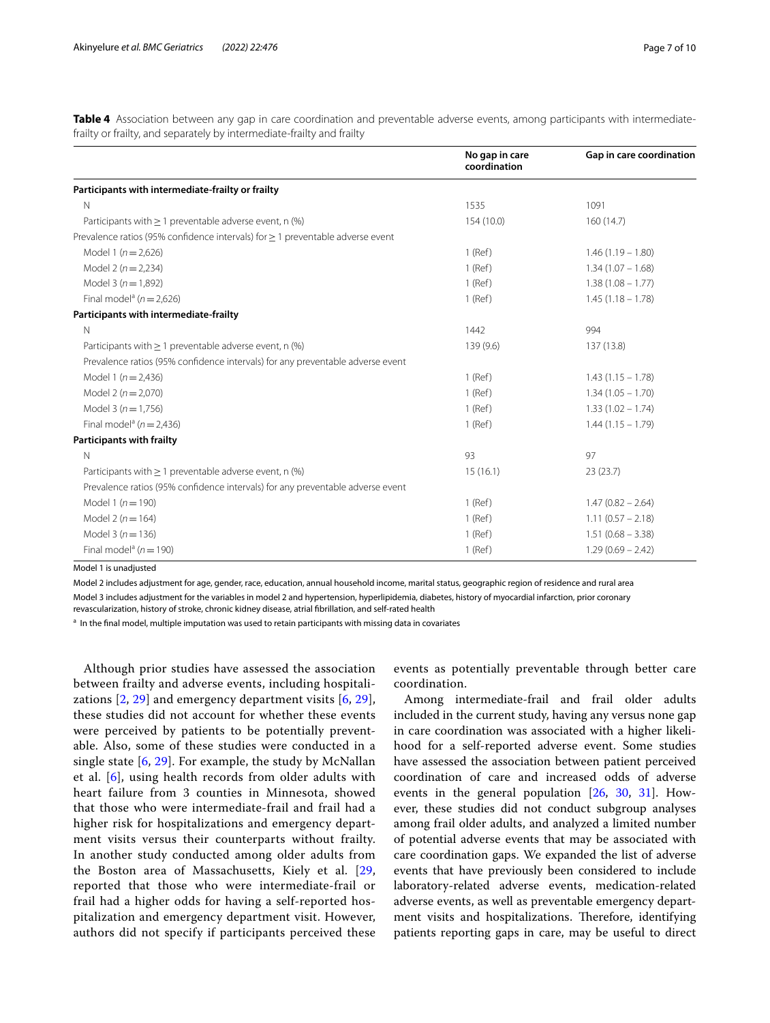<span id="page-6-0"></span>**Table 4** Association between any gap in care coordination and preventable adverse events, among participants with intermediatefrailty or frailty, and separately by intermediate-frailty and frailty

|                                                                                     | No gap in care<br>coordination | Gap in care coordination |
|-------------------------------------------------------------------------------------|--------------------------------|--------------------------|
| Participants with intermediate-frailty or frailty                                   |                                |                          |
| $\mathsf{N}$                                                                        | 1535                           | 1091                     |
| Participants with $\geq 1$ preventable adverse event, n (%)                         | 154 (10.0)                     | 160 (14.7)               |
| Prevalence ratios (95% confidence intervals) for $\geq$ 1 preventable adverse event |                                |                          |
| Model 1 ( $n = 2,626$ )                                                             | $1$ (Ref)                      | $1.46(1.19 - 1.80)$      |
| Model 2 ( $n = 2,234$ )                                                             | $1$ (Ref)                      | $1.34(1.07 - 1.68)$      |
| Model 3 ( $n = 1,892$ )                                                             | $1$ (Ref)                      | $1.38(1.08 - 1.77)$      |
| Final model <sup>a</sup> ( $n = 2,626$ )                                            | $1$ (Ref)                      | $1.45(1.18 - 1.78)$      |
| Participants with intermediate-frailty                                              |                                |                          |
| $\mathsf{N}$                                                                        | 1442                           | 994                      |
| Participants with $\geq 1$ preventable adverse event, n (%)                         | 139 (9.6)                      | 137 (13.8)               |
| Prevalence ratios (95% confidence intervals) for any preventable adverse event      |                                |                          |
| Model 1 ( $n = 2,436$ )                                                             | $1$ (Ref)                      | $1.43(1.15 - 1.78)$      |
| Model $2(n=2,070)$                                                                  | 1 (Ref)                        | $1.34(1.05 - 1.70)$      |
| Model 3 ( $n = 1.756$ )                                                             | $1$ (Ref)                      | $1.33(1.02 - 1.74)$      |
| Final model <sup>a</sup> ( $n = 2,436$ )                                            | 1 (Ref)                        | $1.44(1.15 - 1.79)$      |
| <b>Participants with frailty</b>                                                    |                                |                          |
| $\mathsf{N}$                                                                        | 93                             | 97                       |
| Participants with $> 1$ preventable adverse event, n $(\%)$                         | 15(16.1)                       | 23(23.7)                 |
| Prevalence ratios (95% confidence intervals) for any preventable adverse event      |                                |                          |
| Model 1 ( $n = 190$ )                                                               | $1$ (Ref)                      | $1.47(0.82 - 2.64)$      |
| Model 2 ( $n = 164$ )                                                               | 1 (Ref)                        | $1.11(0.57 - 2.18)$      |
| Model 3 ( $n = 136$ )                                                               | $1$ (Ref)                      | $1.51(0.68 - 3.38)$      |
| Final model <sup>a</sup> ( $n = 190$ )                                              | 1 (Ref)                        | $1.29(0.69 - 2.42)$      |

Model 1 is unadjusted

Model 2 includes adjustment for age, gender, race, education, annual household income, marital status, geographic region of residence and rural area

Model 3 includes adjustment for the variables in model 2 and hypertension, hyperlipidemia, diabetes, history of myocardial infarction, prior coronary revascularization, history of stroke, chronic kidney disease, atrial fbrillation, and self-rated health

<sup>a</sup> In the final model, multiple imputation was used to retain participants with missing data in covariates

Although prior studies have assessed the association between frailty and adverse events, including hospitalizations [[2,](#page-8-1) [29\]](#page-8-21) and emergency department visits [[6,](#page-8-3) [29\]](#page-8-21), these studies did not account for whether these events were perceived by patients to be potentially preventable. Also, some of these studies were conducted in a single state [[6,](#page-8-3) [29\]](#page-8-21). For example, the study by McNallan et al. [\[6](#page-8-3)], using health records from older adults with heart failure from 3 counties in Minnesota, showed that those who were intermediate-frail and frail had a higher risk for hospitalizations and emergency department visits versus their counterparts without frailty. In another study conducted among older adults from the Boston area of Massachusetts, Kiely et al. [\[29](#page-8-21), reported that those who were intermediate-frail or frail had a higher odds for having a self-reported hospitalization and emergency department visit. However, authors did not specify if participants perceived these events as potentially preventable through better care coordination.

Among intermediate-frail and frail older adults included in the current study, having any versus none gap in care coordination was associated with a higher likelihood for a self-reported adverse event. Some studies have assessed the association between patient perceived coordination of care and increased odds of adverse events in the general population [[26](#page-8-18), [30](#page-8-22), [31](#page-8-23)]. However, these studies did not conduct subgroup analyses among frail older adults, and analyzed a limited number of potential adverse events that may be associated with care coordination gaps. We expanded the list of adverse events that have previously been considered to include laboratory-related adverse events, medication-related adverse events, as well as preventable emergency department visits and hospitalizations. Therefore, identifying patients reporting gaps in care, may be useful to direct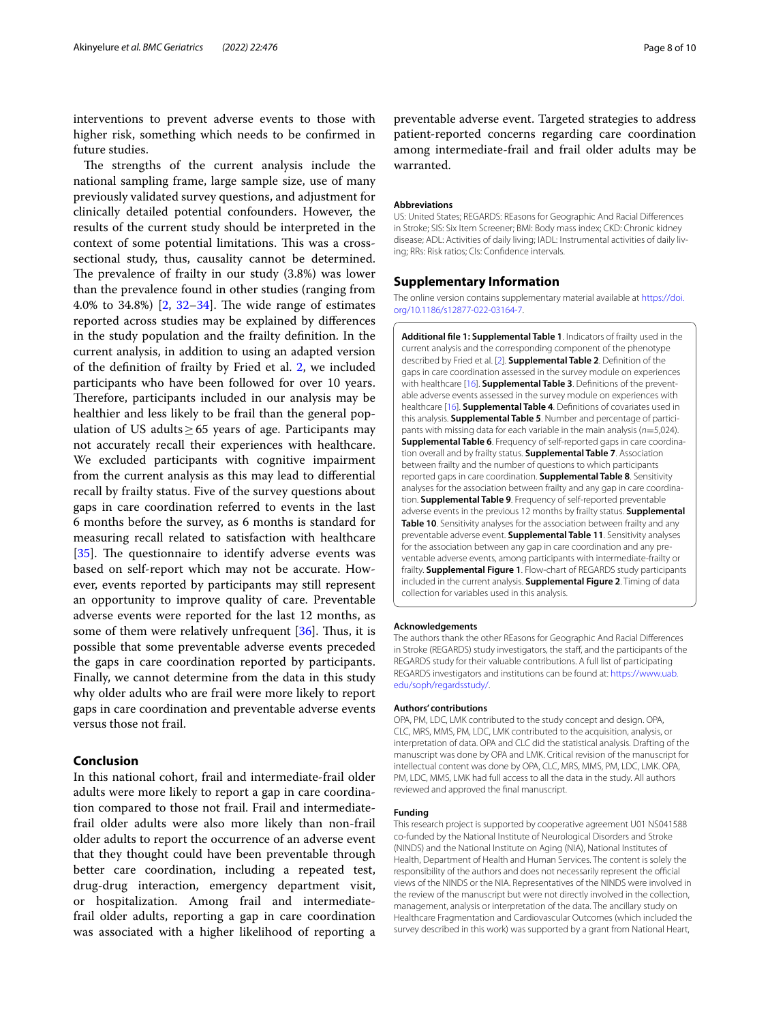interventions to prevent adverse events to those with higher risk, something which needs to be confrmed in future studies.

The strengths of the current analysis include the national sampling frame, large sample size, use of many previously validated survey questions, and adjustment for clinically detailed potential confounders. However, the results of the current study should be interpreted in the context of some potential limitations. This was a crosssectional study, thus, causality cannot be determined. The prevalence of frailty in our study  $(3.8%)$  was lower than the prevalence found in other studies (ranging from 4.0% to 34.8%)  $[2, 32-34]$  $[2, 32-34]$  $[2, 32-34]$  $[2, 32-34]$  $[2, 32-34]$ . The wide range of estimates reported across studies may be explained by diferences in the study population and the frailty defnition. In the current analysis, in addition to using an adapted version of the defnition of frailty by Fried et al. [2](#page-8-1), we included participants who have been followed for over 10 years. Therefore, participants included in our analysis may be healthier and less likely to be frail than the general population of US adults  $\geq 65$  years of age. Participants may not accurately recall their experiences with healthcare. We excluded participants with cognitive impairment from the current analysis as this may lead to diferential recall by frailty status. Five of the survey questions about gaps in care coordination referred to events in the last 6 months before the survey, as 6 months is standard for measuring recall related to satisfaction with healthcare [[35\]](#page-9-0). The questionnaire to identify adverse events was based on self-report which may not be accurate. However, events reported by participants may still represent an opportunity to improve quality of care. Preventable adverse events were reported for the last 12 months, as some of them were relatively unfrequent  $[36]$  $[36]$ . Thus, it is possible that some preventable adverse events preceded the gaps in care coordination reported by participants. Finally, we cannot determine from the data in this study why older adults who are frail were more likely to report gaps in care coordination and preventable adverse events versus those not frail.

#### **Conclusion**

In this national cohort, frail and intermediate-frail older adults were more likely to report a gap in care coordination compared to those not frail. Frail and intermediatefrail older adults were also more likely than non-frail older adults to report the occurrence of an adverse event that they thought could have been preventable through better care coordination, including a repeated test, drug-drug interaction, emergency department visit, or hospitalization. Among frail and intermediatefrail older adults, reporting a gap in care coordination was associated with a higher likelihood of reporting a

preventable adverse event. Targeted strategies to address patient-reported concerns regarding care coordination among intermediate-frail and frail older adults may be warranted.

#### **Abbreviations**

US: United States; REGARDS: REasons for Geographic And Racial Diferences in Stroke; SIS: Six Item Screener; BMI: Body mass index; CKD: Chronic kidney disease; ADL: Activities of daily living; IADL: Instrumental activities of daily living; RRs: Risk ratios; CIs: Confdence intervals.

#### **Supplementary Information**

The online version contains supplementary material available at [https://doi.](https://doi.org/10.1186/s12877-022-03164-7) [org/10.1186/s12877-022-03164-7](https://doi.org/10.1186/s12877-022-03164-7).

<span id="page-7-0"></span>**Additional fle 1: Supplemental Table 1**. Indicators of frailty used in the current analysis and the corresponding component of the phenotype described by Fried et al. [[2](#page-8-1)]. **Supplemental Table 2**. Defnition of the gaps in care coordination assessed in the survey module on experiences with healthcare [[16](#page-8-8)]. **Supplemental Table 3**. Defnitions of the preventable adverse events assessed in the survey module on experiences with healthcare [[16](#page-8-8)]. **Supplemental Table 4**. Defnitions of covariates used in this analysis. **Supplemental Table 5**. Number and percentage of participants with missing data for each variable in the main analysis (*n*=5,024). **Supplemental Table 6**. Frequency of self-reported gaps in care coordination overall and by frailty status. **Supplemental Table 7**. Association between frailty and the number of questions to which participants reported gaps in care coordination. **Supplemental Table 8**. Sensitivity analyses for the association between frailty and any gap in care coordination. **Supplemental Table 9**. Frequency of self-reported preventable adverse events in the previous 12 months by frailty status. **Supplemental Table 10**. Sensitivity analyses for the association between frailty and any preventable adverse event. **Supplemental Table 11**. Sensitivity analyses for the association between any gap in care coordination and any preventable adverse events, among participants with intermediate-frailty or frailty. **Supplemental Figure 1**. Flow-chart of REGARDS study participants included in the current analysis. **Supplemental Figure 2**. Timing of data collection for variables used in this analysis.

#### **Acknowledgements**

The authors thank the other REasons for Geographic And Racial Diferences in Stroke (REGARDS) study investigators, the staff, and the participants of the REGARDS study for their valuable contributions. A full list of participating REGARDS investigators and institutions can be found at: [https://www.uab.](https://www.uab.edu/soph/regardsstudy/) [edu/soph/regardsstudy/](https://www.uab.edu/soph/regardsstudy/).

#### **Authors' contributions**

OPA, PM, LDC, LMK contributed to the study concept and design. OPA, CLC, MRS, MMS, PM, LDC, LMK contributed to the acquisition, analysis, or interpretation of data. OPA and CLC did the statistical analysis. Drafting of the manuscript was done by OPA and LMK. Critical revision of the manuscript for intellectual content was done by OPA, CLC, MRS, MMS, PM, LDC, LMK. OPA, PM, LDC, MMS, LMK had full access to all the data in the study. All authors reviewed and approved the fnal manuscript.

#### **Funding**

This research project is supported by cooperative agreement U01 NS041588 co-funded by the National Institute of Neurological Disorders and Stroke (NINDS) and the National Institute on Aging (NIA), National Institutes of Health, Department of Health and Human Services. The content is solely the responsibility of the authors and does not necessarily represent the official views of the NINDS or the NIA. Representatives of the NINDS were involved in the review of the manuscript but were not directly involved in the collection, management, analysis or interpretation of the data. The ancillary study on Healthcare Fragmentation and Cardiovascular Outcomes (which included the survey described in this work) was supported by a grant from National Heart,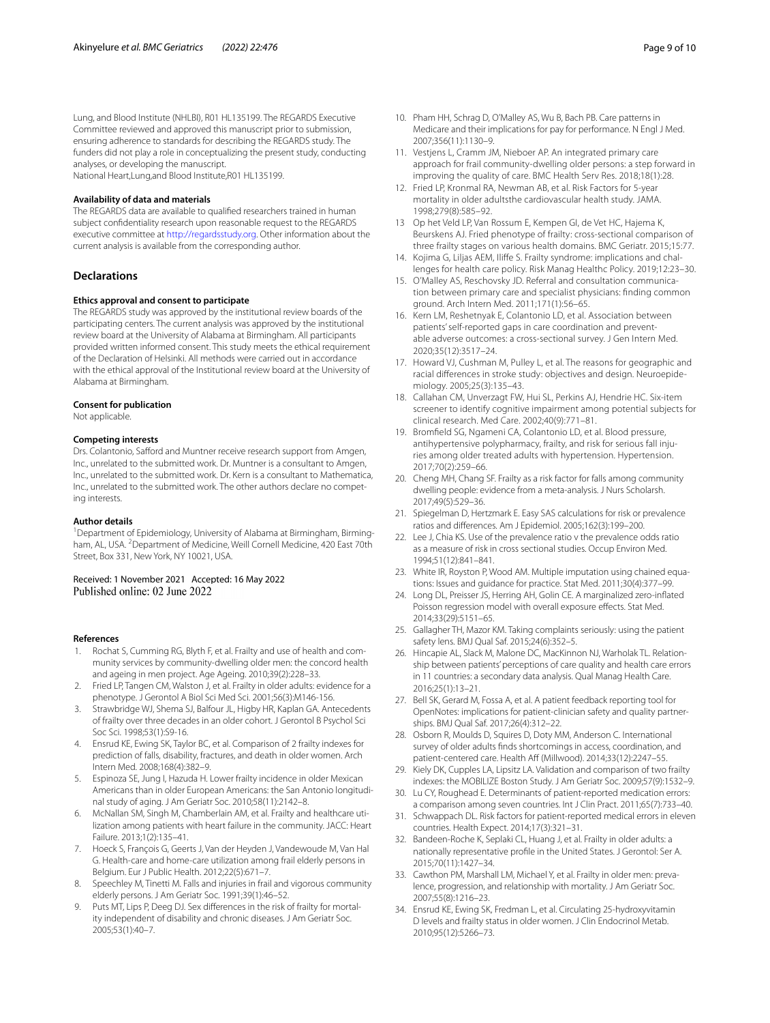Lung, and Blood Institute (NHLBI), R01 HL135199. The REGARDS Executive Committee reviewed and approved this manuscript prior to submission, ensuring adherence to standards for describing the REGARDS study. The funders did not play a role in conceptualizing the present study, conducting analyses, or developing the manuscript.

National Heart,Lung,and Blood Institute,R01 HL135199.

#### **Availability of data and materials**

The REGARDS data are available to qualifed researchers trained in human subject confdentiality research upon reasonable request to the REGARDS executive committee at <http://regardsstudy.org>. Other information about the current analysis is available from the corresponding author.

#### **Declarations**

#### **Ethics approval and consent to participate**

The REGARDS study was approved by the institutional review boards of the participating centers. The current analysis was approved by the institutional review board at the University of Alabama at Birmingham. All participants provided written informed consent. This study meets the ethical requirement of the Declaration of Helsinki. All methods were carried out in accordance with the ethical approval of the Institutional review board at the University of Alabama at Birmingham.

#### **Consent for publication**

Not applicable.

#### **Competing interests**

Drs. Colantonio, Safford and Muntner receive research support from Amgen, Inc., unrelated to the submitted work. Dr. Muntner is a consultant to Amgen, Inc., unrelated to the submitted work. Dr. Kern is a consultant to Mathematica, Inc., unrelated to the submitted work. The other authors declare no competing interests.

#### **Author details**

<sup>1</sup> Department of Epidemiology, University of Alabama at Birmingham, Birmingham, AL, USA. <sup>2</sup> Department of Medicine, Weill Cornell Medicine, 420 East 70th Street, Box 331, New York, NY 10021, USA.

## Received: 1 November 2021 Accepted: 16 May 2022<br>Published online: 02 June 2022

#### **References**

- <span id="page-8-0"></span>1. Rochat S, Cumming RG, Blyth F, et al. Frailty and use of health and community services by community-dwelling older men: the concord health and ageing in men project. Age Ageing. 2010;39(2):228–33.
- <span id="page-8-1"></span>2. Fried LP, Tangen CM, Walston J, et al. Frailty in older adults: evidence for a phenotype. J Gerontol A Biol Sci Med Sci. 2001;56(3):M146-156.
- 3. Strawbridge WJ, Shema SJ, Balfour JL, Higby HR, Kaplan GA. Antecedents of frailty over three decades in an older cohort. J Gerontol B Psychol Sci Soc Sci. 1998;53(1):S9-16.
- 4. Ensrud KE, Ewing SK, Taylor BC, et al. Comparison of 2 frailty indexes for prediction of falls, disability, fractures, and death in older women. Arch Intern Med. 2008;168(4):382–9.
- <span id="page-8-2"></span>5. Espinoza SE, Jung I, Hazuda H. Lower frailty incidence in older Mexican Americans than in older European Americans: the San Antonio longitudinal study of aging. J Am Geriatr Soc. 2010;58(11):2142–8.
- <span id="page-8-3"></span>6. McNallan SM, Singh M, Chamberlain AM, et al. Frailty and healthcare utilization among patients with heart failure in the community. JACC: Heart Failure. 2013;1(2):135–41.
- 7. Hoeck S, François G, Geerts J, Van der Heyden J, Vandewoude M, Van Hal G. Health-care and home-care utilization among frail elderly persons in Belgium. Eur J Public Health. 2012;22(5):671–7.
- 8. Speechley M, Tinetti M. Falls and injuries in frail and vigorous community elderly persons. J Am Geriatr Soc. 1991;39(1):46–52.
- <span id="page-8-4"></span>Puts MT, Lips P, Deeg DJ. Sex differences in the risk of frailty for mortality independent of disability and chronic diseases. J Am Geriatr Soc. 2005;53(1):40–7.
- <span id="page-8-5"></span>10. Pham HH, Schrag D, O'Malley AS, Wu B, Bach PB. Care patterns in Medicare and their implications for pay for performance. N Engl J Med. 2007;356(11):1130–9.
- 11. Vestjens L, Cramm JM, Nieboer AP. An integrated primary care approach for frail community-dwelling older persons: a step forward in improving the quality of care. BMC Health Serv Res. 2018;18(1):28.
- 12. Fried LP, Kronmal RA, Newman AB, et al. Risk Factors for 5-year mortality in older adultsthe cardiovascular health study. JAMA. 1998;279(8):585–92.
- 13 Op het Veld LP, Van Rossum E, Kempen GI, de Vet HC, Hajema K, Beurskens AJ. Fried phenotype of frailty: cross-sectional comparison of three frailty stages on various health domains. BMC Geriatr. 2015;15:77.
- <span id="page-8-6"></span>14. Kojima G, Liljas AEM, Ilife S. Frailty syndrome: implications and challenges for health care policy. Risk Manag Healthc Policy. 2019;12:23–30.
- <span id="page-8-7"></span>15. O'Malley AS, Reschovsky JD. Referral and consultation communication between primary care and specialist physicians: fnding common ground. Arch Intern Med. 2011;171(1):56–65.
- <span id="page-8-8"></span>16. Kern LM, Reshetnyak E, Colantonio LD, et al. Association between patients' self-reported gaps in care coordination and preventable adverse outcomes: a cross-sectional survey. J Gen Intern Med. 2020;35(12):3517–24.
- <span id="page-8-9"></span>17. Howard VJ, Cushman M, Pulley L, et al. The reasons for geographic and racial diferences in stroke study: objectives and design. Neuroepidemiology. 2005;25(3):135–43.
- <span id="page-8-10"></span>18. Callahan CM, Unverzagt FW, Hui SL, Perkins AJ, Hendrie HC. Six-item screener to identify cognitive impairment among potential subjects for clinical research. Med Care. 2002;40(9):771–81.
- <span id="page-8-11"></span>19. Bromfeld SG, Ngameni CA, Colantonio LD, et al. Blood pressure, antihypertensive polypharmacy, frailty, and risk for serious fall injuries among older treated adults with hypertension. Hypertension. 2017;70(2):259–66.
- <span id="page-8-12"></span>20. Cheng MH, Chang SF. Frailty as a risk factor for falls among community dwelling people: evidence from a meta-analysis. J Nurs Scholarsh. 2017;49(5):529–36.
- <span id="page-8-13"></span>21. Spiegelman D, Hertzmark E. Easy SAS calculations for risk or prevalence ratios and diferences. Am J Epidemiol. 2005;162(3):199–200.
- <span id="page-8-14"></span>22. Lee J, Chia KS. Use of the prevalence ratio v the prevalence odds ratio as a measure of risk in cross sectional studies. Occup Environ Med. 1994;51(12):841–841.
- <span id="page-8-15"></span>23. White IR, Royston P, Wood AM. Multiple imputation using chained equations: Issues and guidance for practice. Stat Med. 2011;30(4):377–99.
- <span id="page-8-16"></span>24. Long DL, Preisser JS, Herring AH, Golin CE. A marginalized zero-infated Poisson regression model with overall exposure effects. Stat Med. 2014;33(29):5151–65.
- <span id="page-8-17"></span>25. Gallagher TH, Mazor KM. Taking complaints seriously: using the patient safety lens. BMJ Qual Saf. 2015;24(6):352–5.
- <span id="page-8-18"></span>26. Hincapie AL, Slack M, Malone DC, MacKinnon NJ, Warholak TL. Relationship between patients' perceptions of care quality and health care errors in 11 countries: a secondary data analysis. Qual Manag Health Care. 2016;25(1):13–21.
- <span id="page-8-19"></span>27. Bell SK, Gerard M, Fossa A, et al. A patient feedback reporting tool for OpenNotes: implications for patient-clinician safety and quality partnerships. BMJ Qual Saf. 2017;26(4):312–22.
- <span id="page-8-20"></span>28. Osborn R, Moulds D, Squires D, Doty MM, Anderson C. International survey of older adults fnds shortcomings in access, coordination, and patient-centered care. Health Aff (Millwood). 2014;33(12):2247-55.
- <span id="page-8-21"></span>29. Kiely DK, Cupples LA, Lipsitz LA. Validation and comparison of two frailty indexes: the MOBILIZE Boston Study. J Am Geriatr Soc. 2009;57(9):1532–9.
- <span id="page-8-22"></span>30. Lu CY, Roughead E. Determinants of patient-reported medication errors: a comparison among seven countries. Int J Clin Pract. 2011;65(7):733–40.
- <span id="page-8-23"></span>31. Schwappach DL. Risk factors for patient-reported medical errors in eleven countries. Health Expect. 2014;17(3):321–31.
- <span id="page-8-24"></span>32. Bandeen-Roche K, Seplaki CL, Huang J, et al. Frailty in older adults: a nationally representative profle in the United States. J Gerontol: Ser A. 2015;70(11):1427–34.
- 33. Cawthon PM, Marshall LM, Michael Y, et al. Frailty in older men: prevalence, progression, and relationship with mortality. J Am Geriatr Soc. 2007;55(8):1216–23.
- <span id="page-8-25"></span>34. Ensrud KE, Ewing SK, Fredman L, et al. Circulating 25-hydroxyvitamin D levels and frailty status in older women. J Clin Endocrinol Metab. 2010;95(12):5266–73.